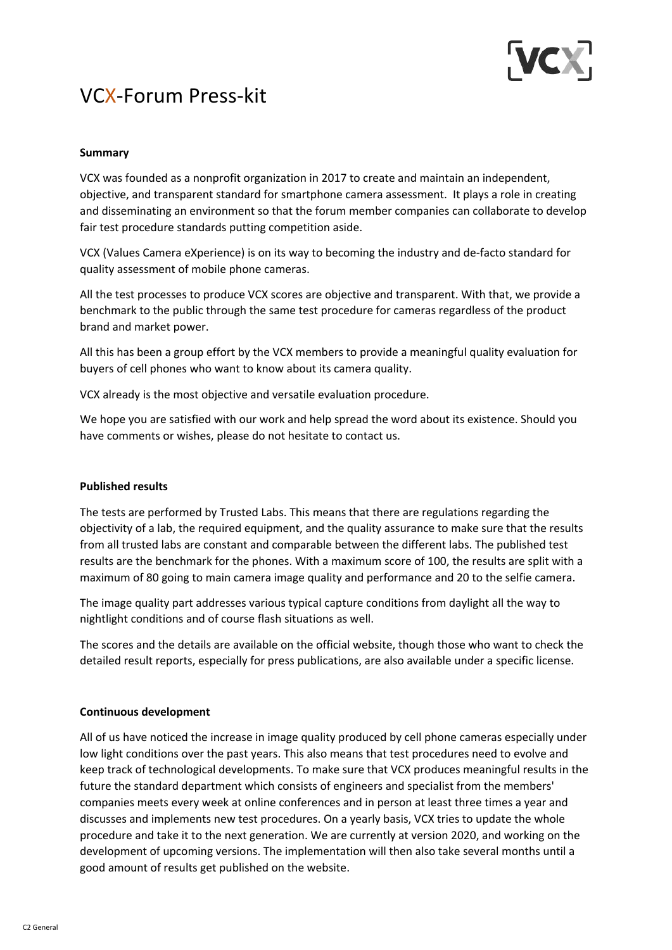

# VCX-Forum Press-kit

## **Summary**

VCX was founded as a nonprofit organization in 2017 to create and maintain an independent, objective, and transparent standard for smartphone camera assessment. It plays a role in creating and disseminating an environment so that the forum member companies can collaborate to develop fair test procedure standards putting competition aside.

VCX (Values Camera eXperience) is on its way to becoming the industry and de-facto standard for quality assessment of mobile phone cameras.

All the test processes to produce VCX scores are objective and transparent. With that, we provide a benchmark to the public through the same test procedure for cameras regardless of the product brand and market power.

All this has been a group effort by the VCX members to provide a meaningful quality evaluation for buyers of cell phones who want to know about its camera quality.

VCX already is the most objective and versatile evaluation procedure.

We hope you are satisfied with our work and help spread the word about its existence. Should you have comments or wishes, please do not hesitate to contact us.

#### **Published results**

The tests are performed by Trusted Labs. This means that there are regulations regarding the objectivity of a lab, the required equipment, and the quality assurance to make sure that the results from all trusted labs are constant and comparable between the different labs. The published test results are the benchmark for the phones. With a maximum score of 100, the results are split with a maximum of 80 going to main camera image quality and performance and 20 to the selfie camera.

The image quality part addresses various typical capture conditions from daylight all the way to nightlight conditions and of course flash situations as well.

The scores and the details are available on the official website, though those who want to check the detailed result reports, especially for press publications, are also available under a specific license.

#### **Continuous development**

All of us have noticed the increase in image quality produced by cell phone cameras especially under low light conditions over the past years. This also means that test procedures need to evolve and keep track of technological developments. To make sure that VCX produces meaningful results in the future the standard department which consists of engineers and specialist from the members' companies meets every week at online conferences and in person at least three times a year and discusses and implements new test procedures. On a yearly basis, VCX tries to update the whole procedure and take it to the next generation. We are currently at version 2020, and working on the development of upcoming versions. The implementation will then also take several months until a good amount of results get published on the website.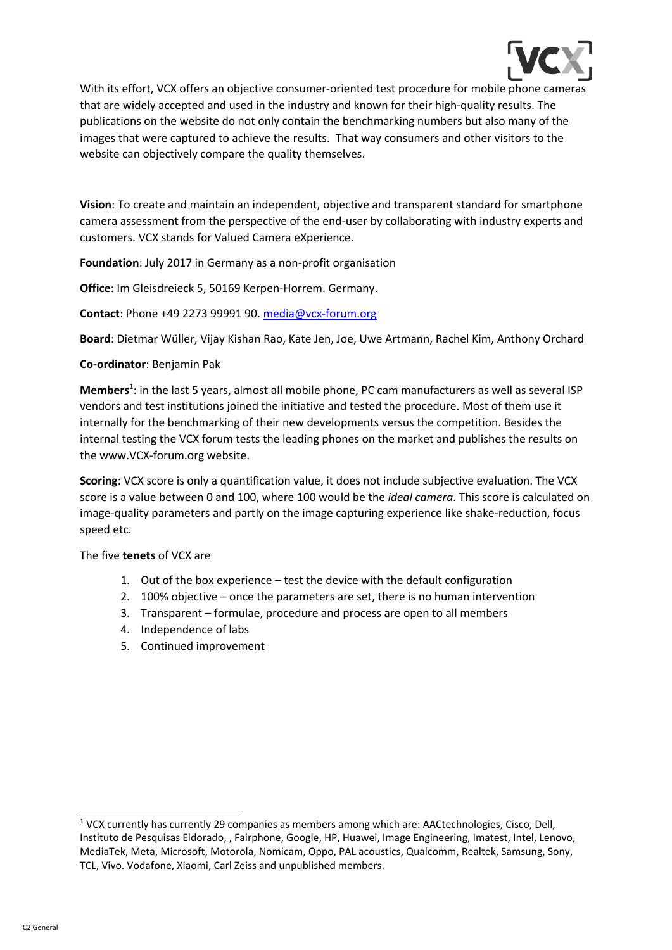

With its effort, VCX offers an objective consumer-oriented test procedure for mobile phone cameras that are widely accepted and used in the industry and known for their high-quality results. The publications on the website do not only contain the benchmarking numbers but also many of the images that were captured to achieve the results. That way consumers and other visitors to the website can objectively compare the quality themselves.

**Vision**: To create and maintain an independent, objective and transparent standard for smartphone camera assessment from the perspective of the end-user by collaborating with industry experts and customers. VCX stands for Valued Camera eXperience.

**Foundation**: July 2017 in Germany as a non-profit organisation

**Office**: Im Gleisdreieck 5, 50169 Kerpen-Horrem. Germany.

**Contact**: Phone +49 2273 99991 90. media@vcx-forum.org

**Board**: Dietmar Wüller, Vijay Kishan Rao, Kate Jen, Joe, Uwe Artmann, Rachel Kim, Anthony Orchard

#### **Co-ordinator**: Benjamin Pak

Members<sup>1</sup>: in the last 5 years, almost all mobile phone, PC cam manufacturers as well as several ISP vendors and test institutions joined the initiative and tested the procedure. Most of them use it internally for the benchmarking of their new developments versus the competition. Besides the internal testing the VCX forum tests the leading phones on the market and publishes the results on the www.VCX-forum.org website.

**Scoring**: VCX score is only a quantification value, it does not include subjective evaluation. The VCX score is a value between 0 and 100, where 100 would be the *ideal camera*. This score is calculated on image-quality parameters and partly on the image capturing experience like shake-reduction, focus speed etc.

#### The five **tenets** of VCX are

- 1. Out of the box experience test the device with the default configuration
- 2. 100% objective once the parameters are set, there is no human intervention
- 3. Transparent formulae, procedure and process are open to all members
- 4. Independence of labs
- 5. Continued improvement

<sup>1</sup> VCX currently has currently 29 companies as members among which are: AACtechnologies, Cisco, Dell, Instituto de Pesquisas Eldorado, , Fairphone, Google, HP, Huawei, Image Engineering, Imatest, Intel, Lenovo, MediaTek, Meta, Microsoft, Motorola, Nomicam, Oppo, PAL acoustics, Qualcomm, Realtek, Samsung, Sony, TCL, Vivo. Vodafone, Xiaomi, Carl Zeiss and unpublished members.